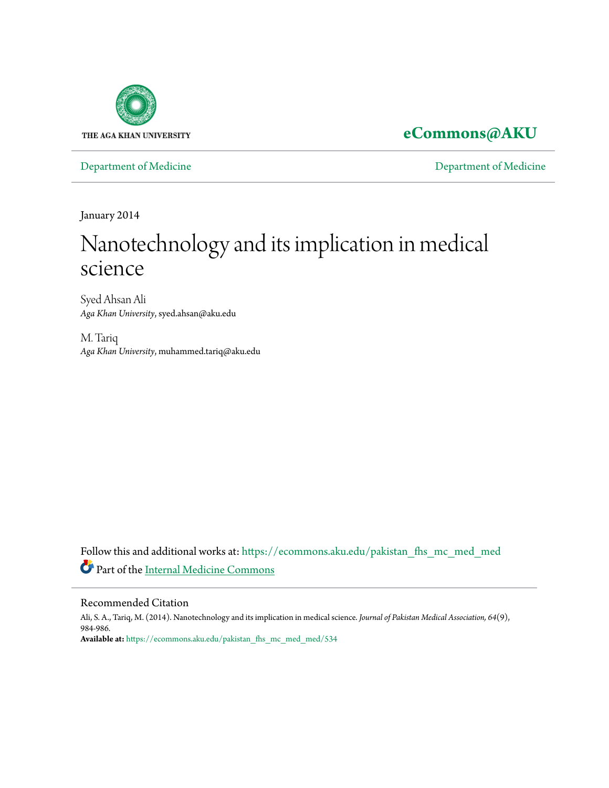

## **[eCommons@AKU](https://ecommons.aku.edu?utm_source=ecommons.aku.edu%2Fpakistan_fhs_mc_med_med%2F534&utm_medium=PDF&utm_campaign=PDFCoverPages)**

[Department of Medicine](https://ecommons.aku.edu/pakistan_fhs_mc_med_med?utm_source=ecommons.aku.edu%2Fpakistan_fhs_mc_med_med%2F534&utm_medium=PDF&utm_campaign=PDFCoverPages) [Department of Medicine](https://ecommons.aku.edu/pakistan_fhs_mc_med?utm_source=ecommons.aku.edu%2Fpakistan_fhs_mc_med_med%2F534&utm_medium=PDF&utm_campaign=PDFCoverPages)

January 2014

# Nanotechnology and its implication in medical science

Syed Ahsan Ali *Aga Khan University*, syed.ahsan@aku.edu

M. Tariq *Aga Khan University*, muhammed.tariq@aku.edu

Follow this and additional works at: [https://ecommons.aku.edu/pakistan\\_fhs\\_mc\\_med\\_med](https://ecommons.aku.edu/pakistan_fhs_mc_med_med?utm_source=ecommons.aku.edu%2Fpakistan_fhs_mc_med_med%2F534&utm_medium=PDF&utm_campaign=PDFCoverPages) Part of the [Internal Medicine Commons](http://network.bepress.com/hgg/discipline/1356?utm_source=ecommons.aku.edu%2Fpakistan_fhs_mc_med_med%2F534&utm_medium=PDF&utm_campaign=PDFCoverPages)

#### Recommended Citation

Ali, S. A., Tariq, M. (2014). Nanotechnology and its implication in medical science. *Journal of Pakistan Medical Association, 64*(9), 984-986. **Available at:** [https://ecommons.aku.edu/pakistan\\_fhs\\_mc\\_med\\_med/534](https://ecommons.aku.edu/pakistan_fhs_mc_med_med/534)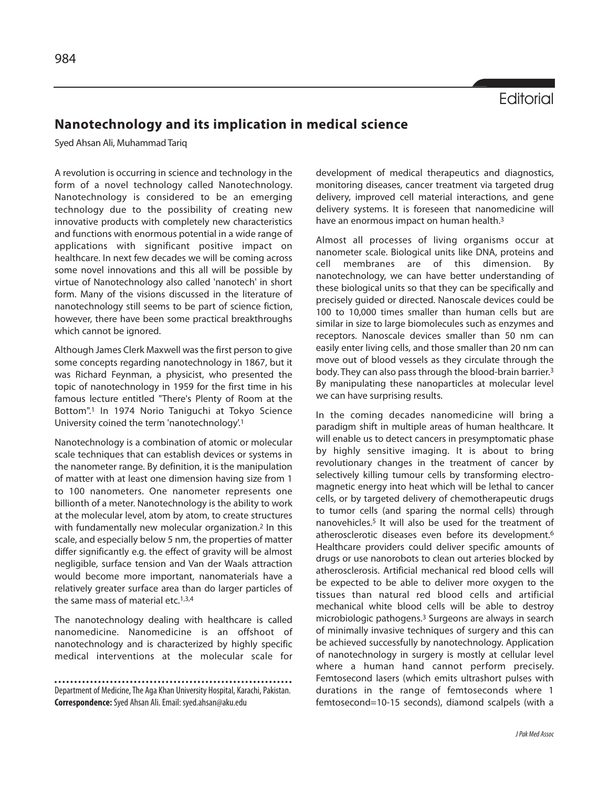## **Nanotechnology and its implication in medical science**

Syed Ahsan Ali, Muhammad Tariq

A revolution is occurring in science and technology in the form of a novel technology called Nanotechnology. Nanotechnology is considered to be an emerging technology due to the possibility of creating new innovative products with completely new characteristics and functions with enormous potential in a wide range of applications with significant positive impact on healthcare. In next few decades we will be coming across some novel innovations and this all will be possible by virtue of Nanotechnology also called 'nanotech' in short form. Many of the visions discussed in the literature of nanotechnology still seems to be part of science fiction, however, there have been some practical breakthroughs which cannot be ignored.

Although James Clerk Maxwell was the first person to give some concepts regarding nanotechnology in 1867, but it was Richard Feynman, a physicist, who presented the topic of nanotechnology in 1959 for the first time in his famous lecture entitled "There's Plenty of Room at the Bottom".<sup>1</sup> In 1974 Norio Taniguchi at Tokyo Science University coined the term 'nanotechnology'.1

Nanotechnology is a combination of atomic or molecular scale techniques that can establish devices or systems in the nanometer range. By definition, it is the manipulation of matter with at least one dimension having size from 1 to 100 nanometers. One nanometer represents one billionth of a meter. Nanotechnology is the ability to work at the molecular level, atom by atom, to create structures with fundamentally new molecular organization.<sup>2</sup> In this scale, and especially below 5 nm, the properties of matter differ significantly e.g. the effect of gravity will be almost negligible, surface tension and Van der Waals attraction would become more important, nanomaterials have a relatively greater surface area than do larger particles of the same mass of material etc.<sup>1,3,4</sup>

The nanotechnology dealing with healthcare is called nanomedicine. Nanomedicine is an offshoot of nanotechnology and is characterized by highly specific medical interventions at the molecular scale for

development of medical therapeutics and diagnostics, monitoring diseases, cancer treatment via targeted drug delivery, improved cell material interactions, and gene delivery systems. It is foreseen that nanomedicine will have an enormous impact on human health.<sup>3</sup>

Almost all processes of living organisms occur at nanometer scale. Biological units like DNA, proteins and cell membranes are of this dimension. By nanotechnology, we can have better understanding of these biological units so that they can be specifically and precisely guided or directed. Nanoscale devices could be 100 to 10,000 times smaller than human cells but are similar in size to large biomolecules such as enzymes and receptors. Nanoscale devices smaller than 50 nm can easily enter living cells, and those smaller than 20 nm can move out of blood vessels as they circulate through the body. They can also pass through the blood-brain barrier.3 By manipulating these nanoparticles at molecular level we can have surprising results.

In the coming decades nanomedicine will bring a paradigm shift in multiple areas of human healthcare. It will enable us to detect cancers in presymptomatic phase by highly sensitive imaging. It is about to bring revolutionary changes in the treatment of cancer by selectively killing tumour cells by transforming electromagnetic energy into heat which will be lethal to cancer cells, or by targeted delivery of chemotherapeutic drugs to tumor cells (and sparing the normal cells) through nanovehicles.<sup>5</sup> It will also be used for the treatment of atherosclerotic diseases even before its development.6 Healthcare providers could deliver specific amounts of drugs or use nanorobots to clean out arteries blocked by atherosclerosis. Artificial mechanical red blood cells will be expected to be able to deliver more oxygen to the tissues than natural red blood cells and artificial mechanical white blood cells will be able to destroy microbiologic pathogens.<sup>3</sup> Surgeons are always in search of minimally invasive techniques of surgery and this can be achieved successfully by nanotechnology. Application of nanotechnology in surgery is mostly at cellular level where a human hand cannot perform precisely. Femtosecond lasers (which emits ultrashort pulses with durations in the range of femtoseconds where 1 femtosecond=10-15 seconds), diamond scalpels (with a

Department of Medicine, The Aga Khan University Hospital, Karachi, Pakistan. **Correspondence:** Syed Ahsan Ali. Email: syed.ahsan@aku.edu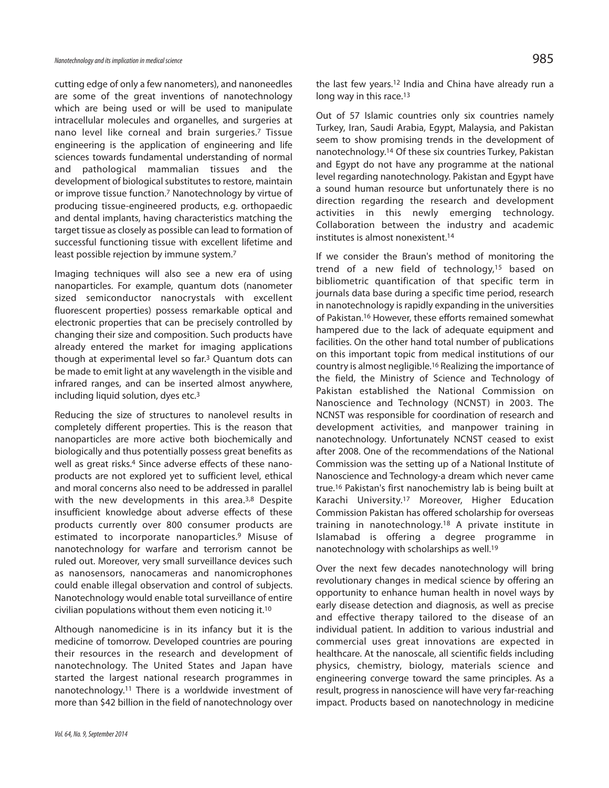cutting edge of only a few nanometers), and nanoneedles are some of the great inventions of nanotechnology which are being used or will be used to manipulate intracellular molecules and organelles, and surgeries at nano level like corneal and brain surgeries.<sup>7</sup> Tissue engineering is the application of engineering and life sciences towards fundamental understanding of normal and pathological mammalian tissues and the development of biological substitutes to restore, maintain or improve tissue function.<sup>7</sup> Nanotechnology by virtue of producing tissue-engineered products, e.g. orthopaedic and dental implants, having characteristics matching the target tissue as closely as possible can lead to formation of successful functioning tissue with excellent lifetime and least possible rejection by immune system.<sup>7</sup>

Imaging techniques will also see a new era of using nanoparticles. For example, quantum dots (nanometer sized semiconductor nanocrystals with excellent fluorescent properties) possess remarkable optical and electronic properties that can be precisely controlled by changing their size and composition. Such products have already entered the market for imaging applications though at experimental level so far.<sup>3</sup> Quantum dots can be made to emit light at any wavelength in the visible and infrared ranges, and can be inserted almost anywhere, including liquid solution, dyes etc.3

Reducing the size of structures to nanolevel results in completely different properties. This is the reason that nanoparticles are more active both biochemically and biologically and thus potentially possess great benefits as well as great risks.<sup>4</sup> Since adverse effects of these nanoproducts are not explored yet to sufficient level, ethical and moral concerns also need to be addressed in parallel with the new developments in this area.<sup>3,8</sup> Despite insufficient knowledge about adverse effects of these products currently over 800 consumer products are estimated to incorporate nanoparticles.9 Misuse of nanotechnology for warfare and terrorism cannot be ruled out. Moreover, very small surveillance devices such as nanosensors, nanocameras and nanomicrophones could enable illegal observation and control of subjects. Nanotechnology would enable total surveillance of entire civilian populations without them even noticing it.<sup>10</sup>

Although nanomedicine is in its infancy but it is the medicine of tomorrow. Developed countries are pouring their resources in the research and development of nanotechnology. The United States and Japan have started the largest national research programmes in nanotechnology.<sup>11</sup> There is a worldwide investment of more than \$42 billion in the field of nanotechnology over

the last few years.<sup>12</sup> India and China have already run a long way in this race.<sup>13</sup>

Out of 57 Islamic countries only six countries namely Turkey, Iran, Saudi Arabia, Egypt, Malaysia, and Pakistan seem to show promising trends in the development of nanotechnology.<sup>14</sup> Of these six countries Turkey, Pakistan and Egypt do not have any programme at the national level regarding nanotechnology. Pakistan and Egypt have a sound human resource but unfortunately there is no direction regarding the research and development activities in this newly emerging technology. Collaboration between the industry and academic institutes is almost nonexistent.<sup>14</sup>

If we consider the Braun's method of monitoring the trend of a new field of technology,<sup>15</sup> based on bibliometric quantification of that specific term in journals data base during a specific time period, research in nanotechnology is rapidly expanding in the universities of Pakistan.<sup>16</sup> However, these efforts remained somewhat hampered due to the lack of adequate equipment and facilities. On the other hand total number of publications on this important topic from medical institutions of our country is almost negligible.<sup>16</sup> Realizing the importance of the field, the Ministry of Science and Technology of Pakistan established the National Commission on Nanoscience and Technology (NCNST) in 2003. The NCNST was responsible for coordination of research and development activities, and manpower training in nanotechnology. Unfortunately NCNST ceased to exist after 2008. One of the recommendations of the National Commission was the setting up of a National Institute of Nanoscience and Technology-a dream which never came true.<sup>16</sup> Pakistan's first nanochemistry lab is being built at Karachi University.<sup>17</sup> Moreover, Higher Education Commission Pakistan has offered scholarship for overseas training in nanotechnology.<sup>18</sup> A private institute in Islamabad is offering a degree programme in nanotechnology with scholarships as well.<sup>19</sup>

Over the next few decades nanotechnology will bring revolutionary changes in medical science by offering an opportunity to enhance human health in novel ways by early disease detection and diagnosis, as well as precise and effective therapy tailored to the disease of an individual patient. In addition to various industrial and commercial uses great innovations are expected in healthcare. At the nanoscale, all scientific fields including physics, chemistry, biology, materials science and engineering converge toward the same principles. As a result, progress in nanoscience will have very far-reaching impact. Products based on nanotechnology in medicine